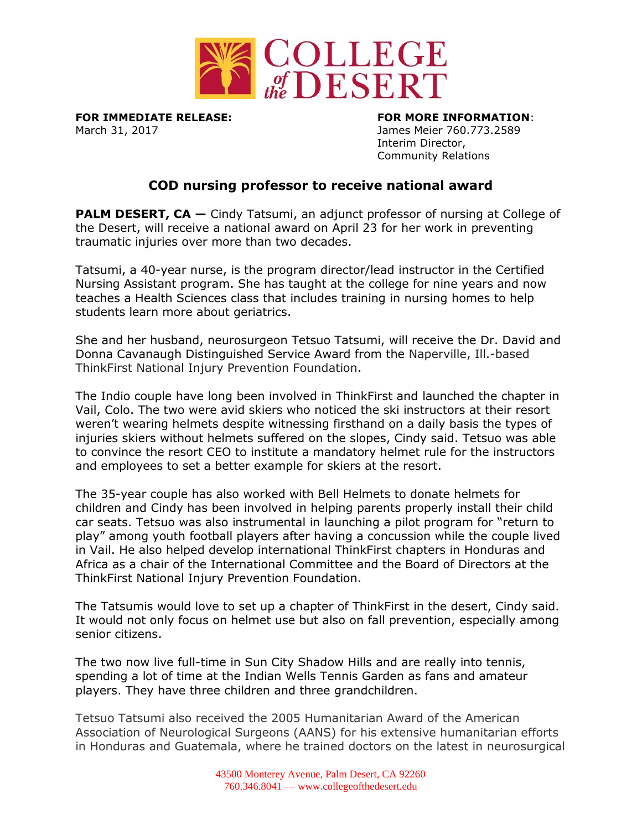

March 31, 2017 James Meier 760.773.2589

**FOR IMMEDIATE RELEASE: FOR MORE INFORMATION**: Interim Director, Community Relations

## **COD nursing professor to receive national award**

**PALM DESERT, CA** – Cindy Tatsumi, an adjunct professor of nursing at College of the Desert, will receive a national award on April 23 for her work in preventing traumatic injuries over more than two decades.

Tatsumi, a 40-year nurse, is the program director/lead instructor in the Certified Nursing Assistant program. She has taught at the college for nine years and now teaches a Health Sciences class that includes training in nursing homes to help students learn more about geriatrics.

She and her husband, neurosurgeon Tetsuo Tatsumi, will receive the Dr. David and Donna Cavanaugh Distinguished Service Award from the Naperville, Ill.-based ThinkFirst National Injury Prevention Foundation.

The Indio couple have long been involved in ThinkFirst and launched the chapter in Vail, Colo. The two were avid skiers who noticed the ski instructors at their resort weren't wearing helmets despite witnessing firsthand on a daily basis the types of injuries skiers without helmets suffered on the slopes, Cindy said. Tetsuo was able to convince the resort CEO to institute a mandatory helmet rule for the instructors and employees to set a better example for skiers at the resort.

The 35-year couple has also worked with Bell Helmets to donate helmets for children and Cindy has been involved in helping parents properly install their child car seats. Tetsuo was also instrumental in launching a pilot program for "return to play" among youth football players after having a concussion while the couple lived in Vail. He also helped develop international ThinkFirst chapters in Honduras and Africa as a chair of the International Committee and the Board of Directors at the ThinkFirst National Injury Prevention Foundation.

The Tatsumis would love to set up a chapter of ThinkFirst in the desert, Cindy said. It would not only focus on helmet use but also on fall prevention, especially among senior citizens.

The two now live full-time in Sun City Shadow Hills and are really into tennis, spending a lot of time at the Indian Wells Tennis Garden as fans and amateur players. They have three children and three grandchildren.

Tetsuo Tatsumi also received the 2005 Humanitarian Award of the American Association of Neurological Surgeons (AANS) for his extensive humanitarian efforts in Honduras and Guatemala, where he trained doctors on the latest in neurosurgical